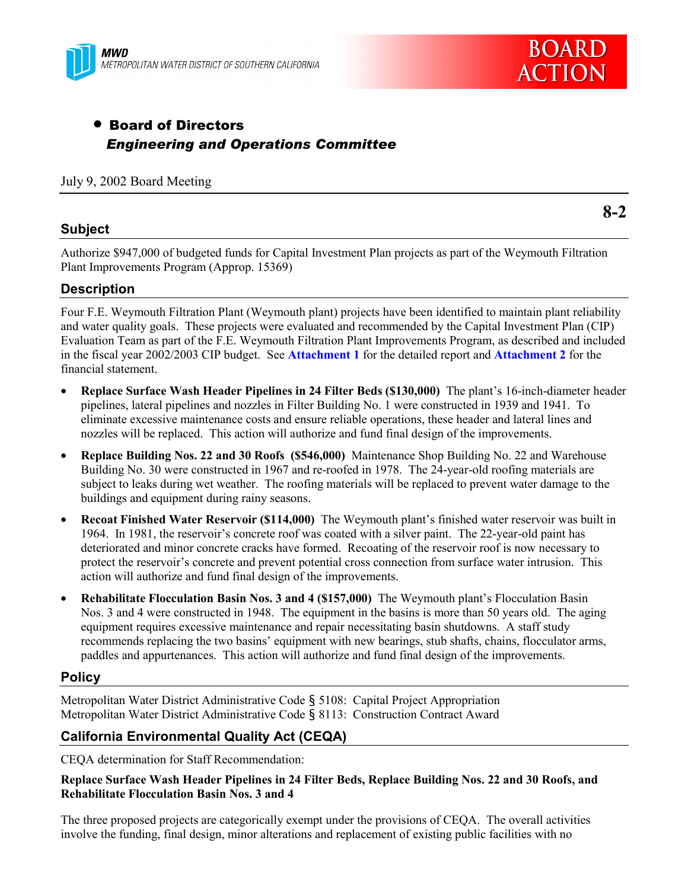



# • Board of Directors *Engineering and Operations Committee*

#### July 9, 2002 Board Meeting

#### **Subject**

**8-2**

Authorize \$947,000 of budgeted funds for Capital Investment Plan projects as part of the Weymouth Filtration Plant Improvements Program (Approp. 15369)

#### **Description**

Four F.E. Weymouth Filtration Plant (Weymouth plant) projects have been identified to maintain plant reliability and water quality goals. These projects were evaluated and recommended by the Capital Investment Plan (CIP) Evaluation Team as part of the F.E. Weymouth Filtration Plant Improvements Program, as described and included in the fiscal year 2002/2003 CIP budget. See **Attachment 1** for the detailed report and **Attachment 2** for the financial statement.

- **Replace Surface Wash Header Pipelines in 24 Filter Beds (\$130,000)** The plant's 16-inch-diameter header pipelines, lateral pipelines and nozzles in Filter Building No. 1 were constructed in 1939 and 1941. To eliminate excessive maintenance costs and ensure reliable operations, these header and lateral lines and nozzles will be replaced. This action will authorize and fund final design of the improvements.
- **Replace Building Nos. 22 and 30 Roofs (\$546,000)** Maintenance Shop Building No. 22 and Warehouse Building No. 30 were constructed in 1967 and re-roofed in 1978. The 24-year-old roofing materials are subject to leaks during wet weather. The roofing materials will be replaced to prevent water damage to the buildings and equipment during rainy seasons.
- **Recoat Finished Water Reservoir (\$114,000)** The Weymouth plant's finished water reservoir was built in 1964. In 1981, the reservoir's concrete roof was coated with a silver paint. The 22-year-old paint has deteriorated and minor concrete cracks have formed. Recoating of the reservoir roof is now necessary to protect the reservoir's concrete and prevent potential cross connection from surface water intrusion. This action will authorize and fund final design of the improvements.
- Rehabilitate Flocculation Basin Nos. 3 and 4 (\$157,000) The Weymouth plant's Flocculation Basin Nos. 3 and 4 were constructed in 1948. The equipment in the basins is more than 50 years old. The aging equipment requires excessive maintenance and repair necessitating basin shutdowns. A staff study recommends replacing the two basins' equipment with new bearings, stub shafts, chains, flocculator arms, paddles and appurtenances. This action will authorize and fund final design of the improvements.

#### **Policy**

Metropolitan Water District Administrative Code ß 5108: Capital Project Appropriation Metropolitan Water District Administrative Code ß 8113: Construction Contract Award

# **California Environmental Quality Act (CEQA)**

CEQA determination for Staff Recommendation:

#### **Replace Surface Wash Header Pipelines in 24 Filter Beds, Replace Building Nos. 22 and 30 Roofs, and Rehabilitate Flocculation Basin Nos. 3 and 4**

The three proposed projects are categorically exempt under the provisions of CEQA. The overall activities involve the funding, final design, minor alterations and replacement of existing public facilities with no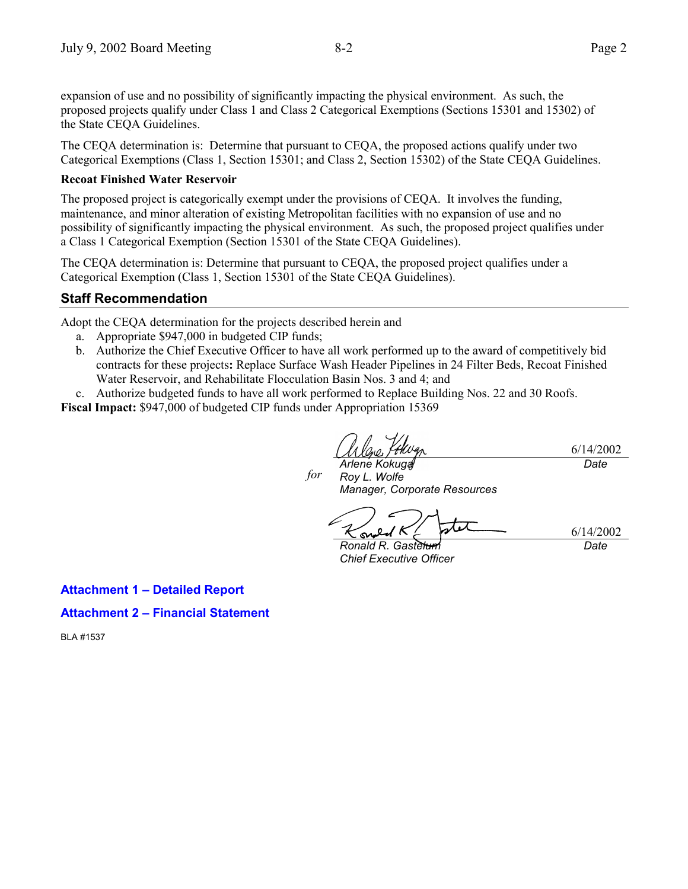expansion of use and no possibility of significantly impacting the physical environment. As such, the proposed projects qualify under Class 1 and Class 2 Categorical Exemptions (Sections 15301 and 15302) of the State CEQA Guidelines.

The CEQA determination is: Determine that pursuant to CEQA, the proposed actions qualify under two Categorical Exemptions (Class 1, Section 15301; and Class 2, Section 15302) of the State CEQA Guidelines.

#### **Recoat Finished Water Reservoir**

The proposed project is categorically exempt under the provisions of CEQA. It involves the funding, maintenance, and minor alteration of existing Metropolitan facilities with no expansion of use and no possibility of significantly impacting the physical environment. As such, the proposed project qualifies under a Class 1 Categorical Exemption (Section 15301 of the State CEQA Guidelines).

The CEQA determination is: Determine that pursuant to CEQA, the proposed project qualifies under a Categorical Exemption (Class 1, Section 15301 of the State CEQA Guidelines).

## **Staff Recommendation**

Adopt the CEQA determination for the projects described herein and

- a. Appropriate \$947,000 in budgeted CIP funds;
- b. Authorize the Chief Executive Officer to have all work performed up to the award of competitively bid contracts for these projects**:** Replace Surface Wash Header Pipelines in 24 Filter Beds, Recoat Finished Water Reservoir, and Rehabilitate Flocculation Basin Nos. 3 and 4; and
- c. Authorize budgeted funds to have all work performed to Replace Building Nos. 22 and 30 Roofs.

**Fiscal Impact:** \$947,000 of budgeted CIP funds under Appropriation 15369

6/14/2002

*Arlene Kokuga Roy L. Wolfe Manager, Corporate Resources for*

s

*Ronald R. Gastelum Chief Executive Officer*

**Attachment 1 - Detailed Report** 

#### **Attachment 2 – Financial Statement**

BLA #1537

*Date*

6/14/2002

*Date*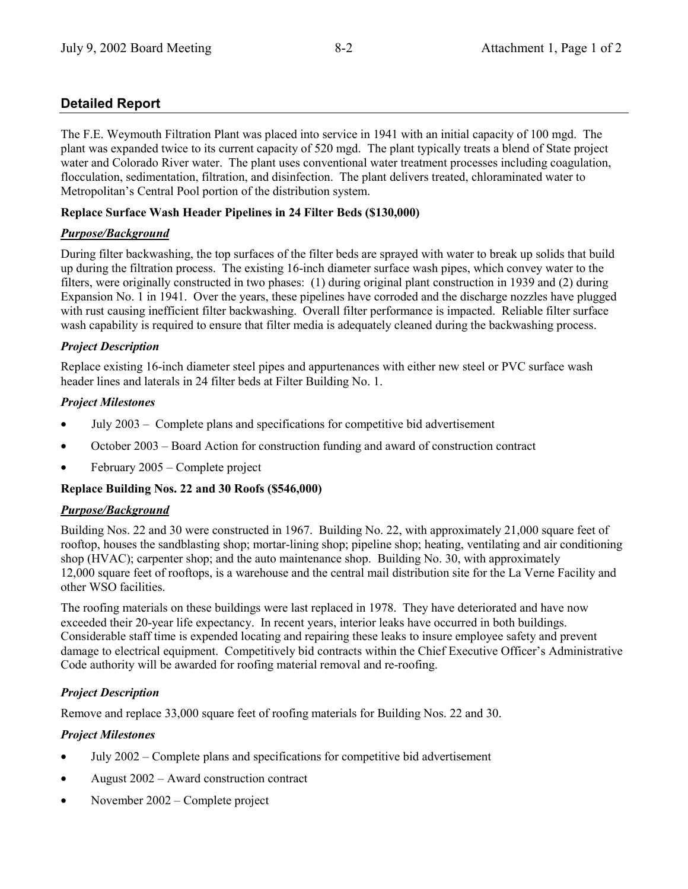# **Detailed Report**

The F.E. Weymouth Filtration Plant was placed into service in 1941 with an initial capacity of 100 mgd. The plant was expanded twice to its current capacity of 520 mgd. The plant typically treats a blend of State project water and Colorado River water. The plant uses conventional water treatment processes including coagulation, flocculation, sedimentation, filtration, and disinfection. The plant delivers treated, chloraminated water to Metropolitan's Central Pool portion of the distribution system.

# **Replace Surface Wash Header Pipelines in 24 Filter Beds (\$130,000)**

# *Purpose/Background*

During filter backwashing, the top surfaces of the filter beds are sprayed with water to break up solids that build up during the filtration process. The existing 16-inch diameter surface wash pipes, which convey water to the filters, were originally constructed in two phases: (1) during original plant construction in 1939 and (2) during Expansion No. 1 in 1941. Over the years, these pipelines have corroded and the discharge nozzles have plugged with rust causing inefficient filter backwashing. Overall filter performance is impacted. Reliable filter surface wash capability is required to ensure that filter media is adequately cleaned during the backwashing process.

# *Project Description*

Replace existing 16-inch diameter steel pipes and appurtenances with either new steel or PVC surface wash header lines and laterals in 24 filter beds at Filter Building No. 1.

#### *Project Milestones*

- July  $2003 -$  Complete plans and specifications for competitive bid advertisement
- October 2003 Board Action for construction funding and award of construction contract
- February 2005 Complete project

#### **Replace Building Nos. 22 and 30 Roofs (\$546,000)**

#### *Purpose/Background*

Building Nos. 22 and 30 were constructed in 1967. Building No. 22, with approximately 21,000 square feet of rooftop, houses the sandblasting shop; mortar-lining shop; pipeline shop; heating, ventilating and air conditioning shop (HVAC); carpenter shop; and the auto maintenance shop. Building No. 30, with approximately 12,000 square feet of rooftops, is a warehouse and the central mail distribution site for the La Verne Facility and other WSO facilities.

The roofing materials on these buildings were last replaced in 1978. They have deteriorated and have now exceeded their 20-year life expectancy. In recent years, interior leaks have occurred in both buildings. Considerable staff time is expended locating and repairing these leaks to insure employee safety and prevent damage to electrical equipment. Competitively bid contracts within the Chief Executive Officer's Administrative Code authority will be awarded for roofing material removal and re-roofing.

# *Project Description*

Remove and replace 33,000 square feet of roofing materials for Building Nos. 22 and 30.

# *Project Milestones*

- July  $2002$  Complete plans and specifications for competitive bid advertisement
- August  $2002 -$  Award construction contract
- November 2002 Complete project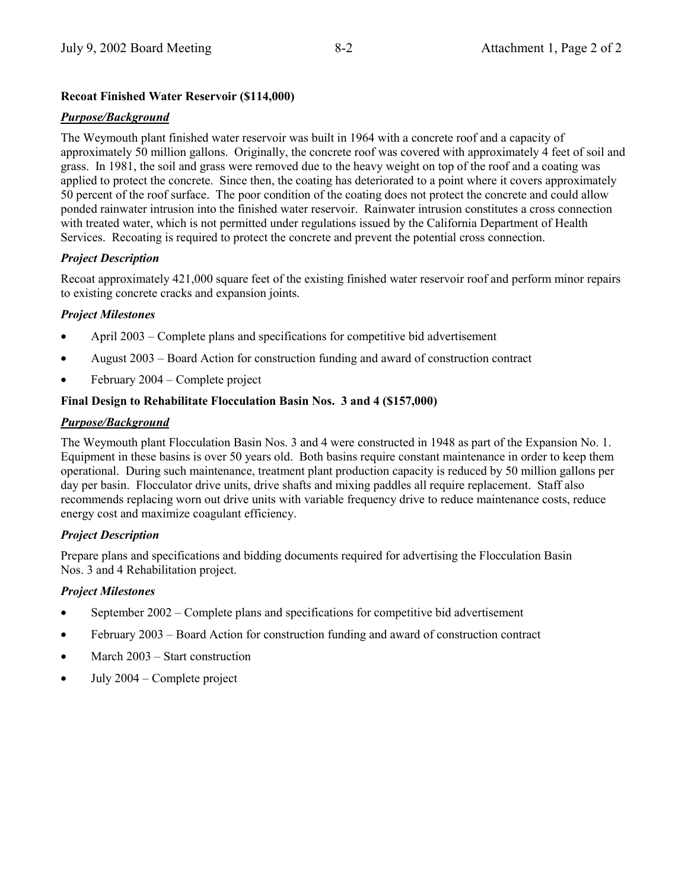# **Recoat Finished Water Reservoir (\$114,000)**

#### *Purpose/Background*

The Weymouth plant finished water reservoir was built in 1964 with a concrete roof and a capacity of approximately 50 million gallons. Originally, the concrete roof was covered with approximately 4 feet of soil and grass. In 1981, the soil and grass were removed due to the heavy weight on top of the roof and a coating was applied to protect the concrete. Since then, the coating has deteriorated to a point where it covers approximately 50 percent of the roof surface. The poor condition of the coating does not protect the concrete and could allow ponded rainwater intrusion into the finished water reservoir. Rainwater intrusion constitutes a cross connection with treated water, which is not permitted under regulations issued by the California Department of Health Services. Recoating is required to protect the concrete and prevent the potential cross connection.

#### *Project Description*

Recoat approximately 421,000 square feet of the existing finished water reservoir roof and perform minor repairs to existing concrete cracks and expansion joints.

## *Project Milestones*

- April  $2003$  Complete plans and specifications for competitive bid advertisement
- August  $2003 -$ Board Action for construction funding and award of construction contract
- $February 2004 Complete project$

## **Final Design to Rehabilitate Flocculation Basin Nos. 3 and 4 (\$157,000)**

## *Purpose/Background*

The Weymouth plant Flocculation Basin Nos. 3 and 4 were constructed in 1948 as part of the Expansion No. 1. Equipment in these basins is over 50 years old. Both basins require constant maintenance in order to keep them operational. During such maintenance, treatment plant production capacity is reduced by 50 million gallons per day per basin. Flocculator drive units, drive shafts and mixing paddles all require replacement. Staff also recommends replacing worn out drive units with variable frequency drive to reduce maintenance costs, reduce energy cost and maximize coagulant efficiency.

# *Project Description*

Prepare plans and specifications and bidding documents required for advertising the Flocculation Basin Nos. 3 and 4 Rehabilitation project.

#### *Project Milestones*

- September  $2002$  Complete plans and specifications for competitive bid advertisement
- February 2003 Board Action for construction funding and award of construction contract
- March  $2003 -$  Start construction
- July  $2004$  Complete project